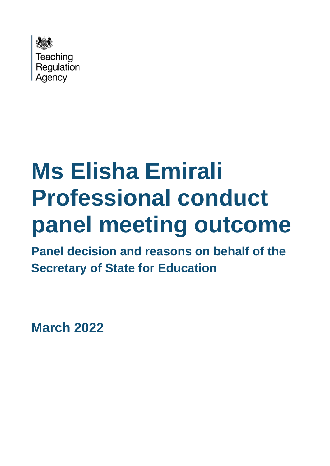

# **Ms Elisha Emirali Professional conduct panel meeting outcome**

**Panel decision and reasons on behalf of the Secretary of State for Education**

**March 2022**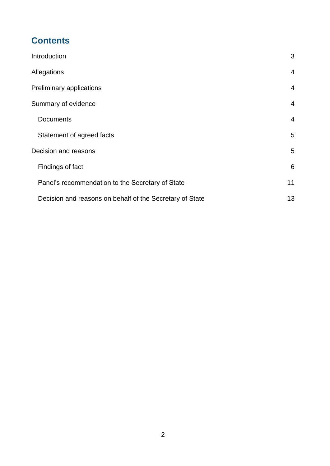# **Contents**

| Introduction                                             | 3              |
|----------------------------------------------------------|----------------|
| Allegations                                              | $\overline{4}$ |
| Preliminary applications                                 | $\overline{4}$ |
| Summary of evidence                                      | 4              |
| <b>Documents</b>                                         | $\overline{4}$ |
| Statement of agreed facts                                | 5              |
| Decision and reasons                                     | 5              |
| Findings of fact                                         | 6              |
| Panel's recommendation to the Secretary of State         | 11             |
| Decision and reasons on behalf of the Secretary of State | 13             |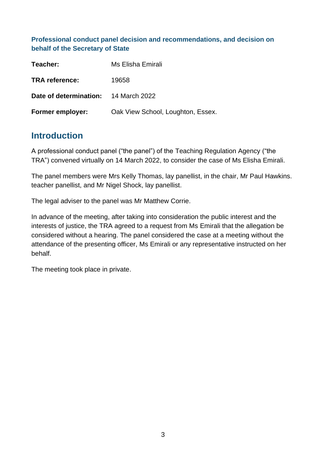**Professional conduct panel decision and recommendations, and decision on behalf of the Secretary of State**

| Teacher:                             | Ms Elisha Emirali                 |
|--------------------------------------|-----------------------------------|
| <b>TRA reference:</b>                | 19658                             |
| Date of determination: 14 March 2022 |                                   |
| <b>Former employer:</b>              | Oak View School, Loughton, Essex. |

## <span id="page-2-0"></span>**Introduction**

A professional conduct panel ("the panel") of the Teaching Regulation Agency ("the TRA") convened virtually on 14 March 2022, to consider the case of Ms Elisha Emirali.

The panel members were Mrs Kelly Thomas, lay panellist, in the chair, Mr Paul Hawkins. teacher panellist, and Mr Nigel Shock, lay panellist.

The legal adviser to the panel was Mr Matthew Corrie.

In advance of the meeting, after taking into consideration the public interest and the interests of justice, the TRA agreed to a request from Ms Emirali that the allegation be considered without a hearing. The panel considered the case at a meeting without the attendance of the presenting officer, Ms Emirali or any representative instructed on her behalf.

The meeting took place in private.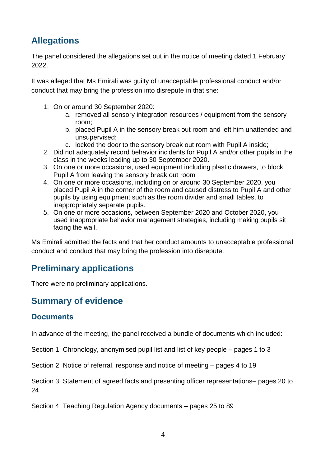# <span id="page-3-0"></span>**Allegations**

The panel considered the allegations set out in the notice of meeting dated 1 February 2022.

It was alleged that Ms Emirali was guilty of unacceptable professional conduct and/or conduct that may bring the profession into disrepute in that she:

- 1. On or around 30 September 2020:
	- a. removed all sensory integration resources / equipment from the sensory room;
	- b. placed Pupil A in the sensory break out room and left him unattended and unsupervised;
	- c. locked the door to the sensory break out room with Pupil A inside;
- 2. Did not adequately record behavior incidents for Pupil A and/or other pupils in the class in the weeks leading up to 30 September 2020.
- 3. On one or more occasions, used equipment including plastic drawers, to block Pupil A from leaving the sensory break out room
- 4. On one or more occasions, including on or around 30 September 2020, you placed Pupil A in the corner of the room and caused distress to Pupil A and other pupils by using equipment such as the room divider and small tables, to inappropriately separate pupils.
- 5. On one or more occasions, between September 2020 and October 2020, you used inappropriate behavior management strategies, including making pupils sit facing the wall.

Ms Emirali admitted the facts and that her conduct amounts to unacceptable professional conduct and conduct that may bring the profession into disrepute.

# <span id="page-3-1"></span>**Preliminary applications**

There were no preliminary applications.

# <span id="page-3-2"></span>**Summary of evidence**

## <span id="page-3-3"></span>**Documents**

In advance of the meeting, the panel received a bundle of documents which included:

Section 1: Chronology, anonymised pupil list and list of key people – pages 1 to 3

Section 2: Notice of referral, response and notice of meeting – pages 4 to 19

Section 3: Statement of agreed facts and presenting officer representations– pages 20 to 24

Section 4: Teaching Regulation Agency documents – pages 25 to 89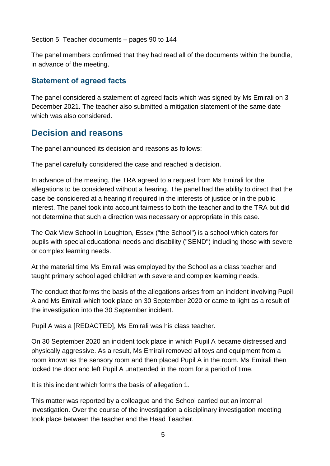Section 5: Teacher documents – pages 90 to 144

The panel members confirmed that they had read all of the documents within the bundle, in advance of the meeting.

## <span id="page-4-0"></span>**Statement of agreed facts**

The panel considered a statement of agreed facts which was signed by Ms Emirali on 3 December 2021. The teacher also submitted a mitigation statement of the same date which was also considered.

## <span id="page-4-1"></span>**Decision and reasons**

The panel announced its decision and reasons as follows:

The panel carefully considered the case and reached a decision.

In advance of the meeting, the TRA agreed to a request from Ms Emirali for the allegations to be considered without a hearing. The panel had the ability to direct that the case be considered at a hearing if required in the interests of justice or in the public interest. The panel took into account fairness to both the teacher and to the TRA but did not determine that such a direction was necessary or appropriate in this case.

The Oak View School in Loughton, Essex ("the School") is a school which caters for pupils with special educational needs and disability ("SEND") including those with severe or complex learning needs.

At the material time Ms Emirali was employed by the School as a class teacher and taught primary school aged children with severe and complex learning needs.

The conduct that forms the basis of the allegations arises from an incident involving Pupil A and Ms Emirali which took place on 30 September 2020 or came to light as a result of the investigation into the 30 September incident.

Pupil A was a [REDACTED], Ms Emirali was his class teacher.

On 30 September 2020 an incident took place in which Pupil A became distressed and physically aggressive. As a result, Ms Emirali removed all toys and equipment from a room known as the sensory room and then placed Pupil A in the room. Ms Emirali then locked the door and left Pupil A unattended in the room for a period of time.

It is this incident which forms the basis of allegation 1.

This matter was reported by a colleague and the School carried out an internal investigation. Over the course of the investigation a disciplinary investigation meeting took place between the teacher and the Head Teacher.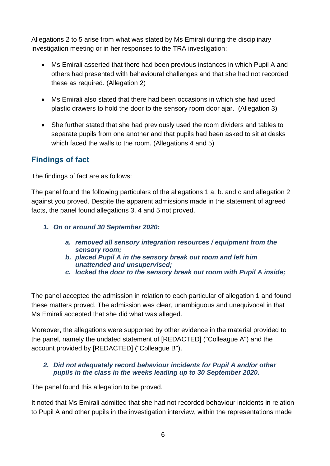Allegations 2 to 5 arise from what was stated by Ms Emirali during the disciplinary investigation meeting or in her responses to the TRA investigation:

- Ms Emirali asserted that there had been previous instances in which Pupil A and others had presented with behavioural challenges and that she had not recorded these as required. (Allegation 2)
- Ms Emirali also stated that there had been occasions in which she had used plastic drawers to hold the door to the sensory room door ajar. (Allegation 3)
- She further stated that she had previously used the room dividers and tables to separate pupils from one another and that pupils had been asked to sit at desks which faced the walls to the room. (Allegations 4 and 5)

### <span id="page-5-0"></span>**Findings of fact**

The findings of fact are as follows:

The panel found the following particulars of the allegations 1 a. b. and c and allegation 2 against you proved. Despite the apparent admissions made in the statement of agreed facts, the panel found allegations 3, 4 and 5 not proved.

- *1. On or around 30 September 2020:*
	- *a. removed all sensory integration resources / equipment from the sensory room;*
	- *b. placed Pupil A in the sensory break out room and left him unattended and unsupervised;*
	- *c. locked the door to the sensory break out room with Pupil A inside;*

The panel accepted the admission in relation to each particular of allegation 1 and found these matters proved. The admission was clear, unambiguous and unequivocal in that Ms Emirali accepted that she did what was alleged.

Moreover, the allegations were supported by other evidence in the material provided to the panel, namely the undated statement of [REDACTED] ("Colleague A") and the account provided by [REDACTED] ("Colleague B").

#### *2. Did not adequately record behaviour incidents for Pupil A and/or other pupils in the class in the weeks leading up to 30 September 2020.*

The panel found this allegation to be proved.

It noted that Ms Emirali admitted that she had not recorded behaviour incidents in relation to Pupil A and other pupils in the investigation interview, within the representations made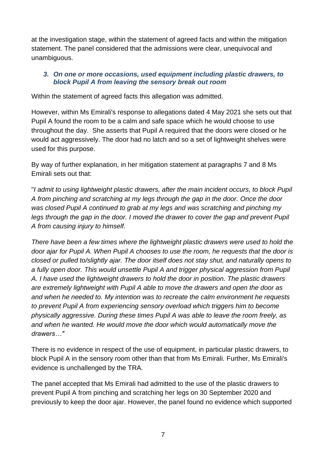at the investigation stage, within the statement of agreed facts and within the mitigation statement. The panel considered that the admissions were clear, unequivocal and unambiguous.

#### *3. On one or more occasions, used equipment including plastic drawers, to block Pupil A from leaving the sensory break out room*

Within the statement of agreed facts this allegation was admitted.

However, within Ms Emirali's response to allegations dated 4 May 2021 she sets out that Pupil A found the room to be a calm and safe space which he would choose to use throughout the day. She asserts that Pupil A required that the doors were closed or he would act aggressively. The door had no latch and so a set of lightweight shelves were used for this purpose.

By way of further explanation, in her mitigation statement at paragraphs 7 and 8 Ms Emirali sets out that:

"*I admit to using lightweight plastic drawers, after the main incident occurs, to block Pupil A from pinching and scratching at my legs through the gap in the door. Once the door was closed Pupil A continued to grab at my legs and was scratching and pinching my legs through the gap in the door. I moved the drawer to cover the gap and prevent Pupil A from causing injury to himself.*

*There have been a few times where the lightweight plastic drawers were used to hold the door ajar for Pupil A. When Pupil A chooses to use the room, he requests that the door is closed or pulled to/slightly ajar. The door itself does not stay shut, and naturally opens to a fully open door. This would unsettle Pupil A and trigger physical aggression from Pupil A. I have used the lightweight drawers to hold the door in position. The plastic drawers are extremely lightweight with Pupil A able to move the drawers and open the door as and when he needed to. My intention was to recreate the calm environment he requests to prevent Pupil A from experiencing sensory overload which triggers him to become physically aggressive. During these times Pupil A was able to leave the room freely, as and when he wanted. He would move the door which would automatically move the drawers…"*

There is no evidence in respect of the use of equipment, in particular plastic drawers, to block Pupil A in the sensory room other than that from Ms Emirali. Further, Ms Emirali's evidence is unchallenged by the TRA.

The panel accepted that Ms Emirali had admitted to the use of the plastic drawers to prevent Pupil A from pinching and scratching her legs on 30 September 2020 and previously to keep the door ajar. However, the panel found no evidence which supported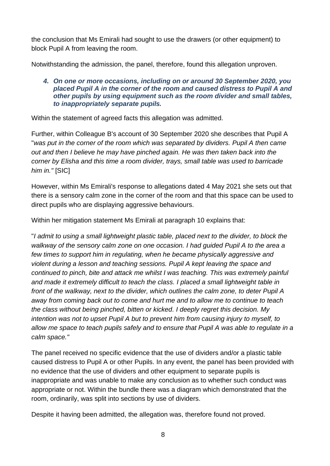the conclusion that Ms Emirali had sought to use the drawers (or other equipment) to block Pupil A from leaving the room.

Notwithstanding the admission, the panel, therefore, found this allegation unproven.

#### *4. On one or more occasions, including on or around 30 September 2020, you placed Pupil A in the corner of the room and caused distress to Pupil A and other pupils by using equipment such as the room divider and small tables, to inappropriately separate pupils.*

Within the statement of agreed facts this allegation was admitted.

Further, within Colleague B's account of 30 September 2020 she describes that Pupil A "*was put in the corner of the room which was separated by dividers. Pupil A then came out and then I believe he may have pinched again. He was then taken back into the corner by Elisha and this time a room divider, trays, small table was used to barricade him in."* [SIC]

However, within Ms Emirali's response to allegations dated 4 May 2021 she sets out that there is a sensory calm zone in the corner of the room and that this space can be used to direct pupils who are displaying aggressive behaviours.

Within her mitigation statement Ms Emirali at paragraph 10 explains that:

"*I admit to using a small lightweight plastic table, placed next to the divider, to block the walkway of the sensory calm zone on one occasion. I had guided Pupil A to the area a few times to support him in regulating, when he became physically aggressive and violent during a lesson and teaching sessions. Pupil A kept leaving the space and continued to pinch, bite and attack me whilst I was teaching. This was extremely painful and made it extremely difficult to teach the class. I placed a small lightweight table in front of the walkway, next to the divider, which outlines the calm zone, to deter Pupil A away from coming back out to come and hurt me and to allow me to continue to teach the class without being pinched, bitten or kicked. I deeply regret this decision. My intention was not to upset Pupil A but to prevent him from causing injury to myself, to allow me space to teach pupils safely and to ensure that Pupil A was able to regulate in a calm space."*

The panel received no specific evidence that the use of dividers and/or a plastic table caused distress to Pupil A or other Pupils. In any event, the panel has been provided with no evidence that the use of dividers and other equipment to separate pupils is inappropriate and was unable to make any conclusion as to whether such conduct was appropriate or not. Within the bundle there was a diagram which demonstrated that the room, ordinarily, was split into sections by use of dividers.

Despite it having been admitted, the allegation was, therefore found not proved.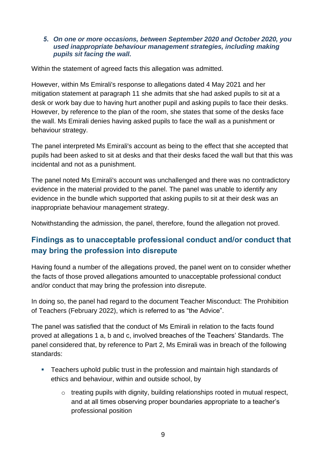#### *5. On one or more occasions, between September 2020 and October 2020, you used inappropriate behaviour management strategies, including making pupils sit facing the wall.*

Within the statement of agreed facts this allegation was admitted.

However, within Ms Emirali's response to allegations dated 4 May 2021 and her mitigation statement at paragraph 11 she admits that she had asked pupils to sit at a desk or work bay due to having hurt another pupil and asking pupils to face their desks. However, by reference to the plan of the room, she states that some of the desks face the wall. Ms Emirali denies having asked pupils to face the wall as a punishment or behaviour strategy.

The panel interpreted Ms Emirali's account as being to the effect that she accepted that pupils had been asked to sit at desks and that their desks faced the wall but that this was incidental and not as a punishment.

The panel noted Ms Emirali's account was unchallenged and there was no contradictory evidence in the material provided to the panel. The panel was unable to identify any evidence in the bundle which supported that asking pupils to sit at their desk was an inappropriate behaviour management strategy.

Notwithstanding the admission, the panel, therefore, found the allegation not proved.

### **Findings as to unacceptable professional conduct and/or conduct that may bring the profession into disrepute**

Having found a number of the allegations proved, the panel went on to consider whether the facts of those proved allegations amounted to unacceptable professional conduct and/or conduct that may bring the profession into disrepute.

In doing so, the panel had regard to the document Teacher Misconduct: The Prohibition of Teachers (February 2022), which is referred to as "the Advice".

The panel was satisfied that the conduct of Ms Emirali in relation to the facts found proved at allegations 1 a, b and c, involved breaches of the Teachers' Standards. The panel considered that, by reference to Part 2, Ms Emirali was in breach of the following standards:

- Teachers uphold public trust in the profession and maintain high standards of ethics and behaviour, within and outside school, by
	- $\circ$  treating pupils with dignity, building relationships rooted in mutual respect, and at all times observing proper boundaries appropriate to a teacher's professional position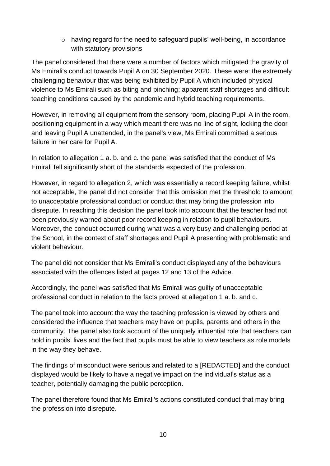o having regard for the need to safeguard pupils' well-being, in accordance with statutory provisions

The panel considered that there were a number of factors which mitigated the gravity of Ms Emirali's conduct towards Pupil A on 30 September 2020. These were: the extremely challenging behaviour that was being exhibited by Pupil A which included physical violence to Ms Emirali such as biting and pinching; apparent staff shortages and difficult teaching conditions caused by the pandemic and hybrid teaching requirements.

However, in removing all equipment from the sensory room, placing Pupil A in the room, positioning equipment in a way which meant there was no line of sight, locking the door and leaving Pupil A unattended, in the panel's view, Ms Emirali committed a serious failure in her care for Pupil A.

In relation to allegation 1 a. b. and c. the panel was satisfied that the conduct of Ms Emirali fell significantly short of the standards expected of the profession.

However, in regard to allegation 2, which was essentially a record keeping failure, whilst not acceptable, the panel did not consider that this omission met the threshold to amount to unacceptable professional conduct or conduct that may bring the profession into disrepute. In reaching this decision the panel took into account that the teacher had not been previously warned about poor record keeping in relation to pupil behaviours. Moreover, the conduct occurred during what was a very busy and challenging period at the School, in the context of staff shortages and Pupil A presenting with problematic and violent behaviour.

The panel did not consider that Ms Emirali's conduct displayed any of the behaviours associated with the offences listed at pages 12 and 13 of the Advice.

Accordingly, the panel was satisfied that Ms Emirali was guilty of unacceptable professional conduct in relation to the facts proved at allegation 1 a. b. and c.

The panel took into account the way the teaching profession is viewed by others and considered the influence that teachers may have on pupils, parents and others in the community. The panel also took account of the uniquely influential role that teachers can hold in pupils' lives and the fact that pupils must be able to view teachers as role models in the way they behave.

The findings of misconduct were serious and related to a [REDACTED] and the conduct displayed would be likely to have a negative impact on the individual's status as a teacher, potentially damaging the public perception.

The panel therefore found that Ms Emirali's actions constituted conduct that may bring the profession into disrepute.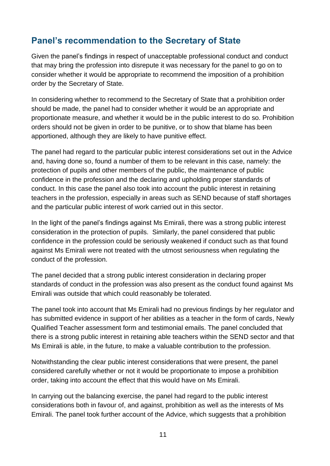## <span id="page-10-0"></span>**Panel's recommendation to the Secretary of State**

Given the panel's findings in respect of unacceptable professional conduct and conduct that may bring the profession into disrepute it was necessary for the panel to go on to consider whether it would be appropriate to recommend the imposition of a prohibition order by the Secretary of State.

In considering whether to recommend to the Secretary of State that a prohibition order should be made, the panel had to consider whether it would be an appropriate and proportionate measure, and whether it would be in the public interest to do so. Prohibition orders should not be given in order to be punitive, or to show that blame has been apportioned, although they are likely to have punitive effect.

The panel had regard to the particular public interest considerations set out in the Advice and, having done so, found a number of them to be relevant in this case, namely: the protection of pupils and other members of the public, the maintenance of public confidence in the profession and the declaring and upholding proper standards of conduct. In this case the panel also took into account the public interest in retaining teachers in the profession, especially in areas such as SEND because of staff shortages and the particular public interest of work carried out in this sector.

In the light of the panel's findings against Ms Emirali, there was a strong public interest consideration in the protection of pupils. Similarly, the panel considered that public confidence in the profession could be seriously weakened if conduct such as that found against Ms Emirali were not treated with the utmost seriousness when regulating the conduct of the profession.

The panel decided that a strong public interest consideration in declaring proper standards of conduct in the profession was also present as the conduct found against Ms Emirali was outside that which could reasonably be tolerated.

The panel took into account that Ms Emirali had no previous findings by her regulator and has submitted evidence in support of her abilities as a teacher in the form of cards, Newly Qualified Teacher assessment form and testimonial emails. The panel concluded that there is a strong public interest in retaining able teachers within the SEND sector and that Ms Emirali is able, in the future, to make a valuable contribution to the profession.

Notwithstanding the clear public interest considerations that were present, the panel considered carefully whether or not it would be proportionate to impose a prohibition order, taking into account the effect that this would have on Ms Emirali.

In carrying out the balancing exercise, the panel had regard to the public interest considerations both in favour of, and against, prohibition as well as the interests of Ms Emirali. The panel took further account of the Advice, which suggests that a prohibition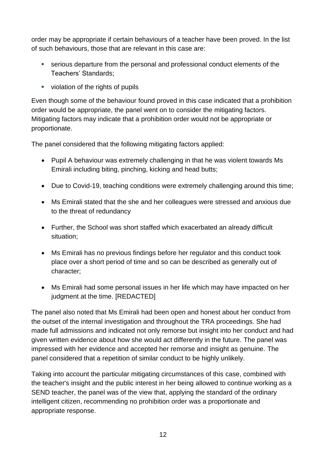order may be appropriate if certain behaviours of a teacher have been proved. In the list of such behaviours, those that are relevant in this case are:

- serious departure from the personal and professional conduct elements of the Teachers' Standards;
- violation of the rights of pupils

Even though some of the behaviour found proved in this case indicated that a prohibition order would be appropriate, the panel went on to consider the mitigating factors. Mitigating factors may indicate that a prohibition order would not be appropriate or proportionate.

The panel considered that the following mitigating factors applied:

- Pupil A behaviour was extremely challenging in that he was violent towards Ms Emirali including biting, pinching, kicking and head butts;
- Due to Covid-19, teaching conditions were extremely challenging around this time;
- Ms Emirali stated that the she and her colleagues were stressed and anxious due to the threat of redundancy
- Further, the School was short staffed which exacerbated an already difficult situation;
- Ms Emirali has no previous findings before her regulator and this conduct took place over a short period of time and so can be described as generally out of character;
- Ms Emirali had some personal issues in her life which may have impacted on her judgment at the time. [REDACTED]

The panel also noted that Ms Emirali had been open and honest about her conduct from the outset of the internal investigation and throughout the TRA proceedings. She had made full admissions and indicated not only remorse but insight into her conduct and had given written evidence about how she would act differently in the future. The panel was impressed with her evidence and accepted her remorse and insight as genuine. The panel considered that a repetition of similar conduct to be highly unlikely.

Taking into account the particular mitigating circumstances of this case, combined with the teacher's insight and the public interest in her being allowed to continue working as a SEND teacher, the panel was of the view that, applying the standard of the ordinary intelligent citizen, recommending no prohibition order was a proportionate and appropriate response.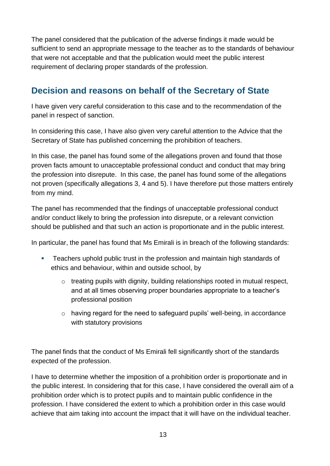The panel considered that the publication of the adverse findings it made would be sufficient to send an appropriate message to the teacher as to the standards of behaviour that were not acceptable and that the publication would meet the public interest requirement of declaring proper standards of the profession.

## <span id="page-12-0"></span>**Decision and reasons on behalf of the Secretary of State**

I have given very careful consideration to this case and to the recommendation of the panel in respect of sanction.

In considering this case, I have also given very careful attention to the Advice that the Secretary of State has published concerning the prohibition of teachers.

In this case, the panel has found some of the allegations proven and found that those proven facts amount to unacceptable professional conduct and conduct that may bring the profession into disrepute. In this case, the panel has found some of the allegations not proven (specifically allegations 3, 4 and 5). I have therefore put those matters entirely from my mind.

The panel has recommended that the findings of unacceptable professional conduct and/or conduct likely to bring the profession into disrepute, or a relevant conviction should be published and that such an action is proportionate and in the public interest.

In particular, the panel has found that Ms Emirali is in breach of the following standards:

- Teachers uphold public trust in the profession and maintain high standards of ethics and behaviour, within and outside school, by
	- o treating pupils with dignity, building relationships rooted in mutual respect, and at all times observing proper boundaries appropriate to a teacher's professional position
	- o having regard for the need to safeguard pupils' well-being, in accordance with statutory provisions

The panel finds that the conduct of Ms Emirali fell significantly short of the standards expected of the profession.

I have to determine whether the imposition of a prohibition order is proportionate and in the public interest. In considering that for this case, I have considered the overall aim of a prohibition order which is to protect pupils and to maintain public confidence in the profession. I have considered the extent to which a prohibition order in this case would achieve that aim taking into account the impact that it will have on the individual teacher.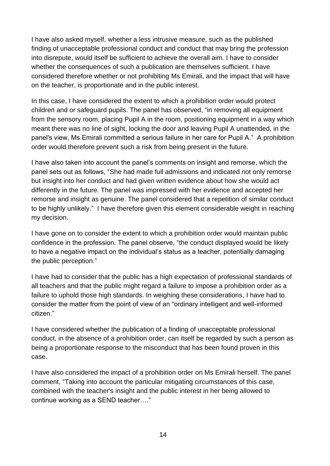I have also asked myself, whether a less intrusive measure, such as the published finding of unacceptable professional conduct and conduct that may bring the profession into disrepute, would itself be sufficient to achieve the overall aim. I have to consider whether the consequences of such a publication are themselves sufficient. I have considered therefore whether or not prohibiting Ms Emirali, and the impact that will have on the teacher, is proportionate and in the public interest.

In this case, I have considered the extent to which a prohibition order would protect children and or safeguard pupils. The panel has observed, "in removing all equipment from the sensory room, placing Pupil A in the room, positioning equipment in a way which meant there was no line of sight, locking the door and leaving Pupil A unattended, in the panel's view, Ms Emirali committed a serious failure in her care for Pupil A." A prohibition order would therefore prevent such a risk from being present in the future.

I have also taken into account the panel's comments on insight and remorse, which the panel sets out as follows, "She had made full admissions and indicated not only remorse but insight into her conduct and had given written evidence about how she would act differently in the future. The panel was impressed with her evidence and accepted her remorse and insight as genuine. The panel considered that a repetition of similar conduct to be highly unlikely." I have therefore given this element considerable weight in reaching my decision.

I have gone on to consider the extent to which a prohibition order would maintain public confidence in the profession. The panel observe, "the conduct displayed would be likely to have a negative impact on the individual's status as a teacher, potentially damaging the public perception."

I have had to consider that the public has a high expectation of professional standards of all teachers and that the public might regard a failure to impose a prohibition order as a failure to uphold those high standards. In weighing these considerations, I have had to consider the matter from the point of view of an "ordinary intelligent and well-informed citizen."

I have considered whether the publication of a finding of unacceptable professional conduct, in the absence of a prohibition order, can itself be regarded by such a person as being a proportionate response to the misconduct that has been found proven in this case.

I have also considered the impact of a prohibition order on Ms Emirali herself. The panel comment, "Taking into account the particular mitigating circumstances of this case, combined with the teacher's insight and the public interest in her being allowed to continue working as a SEND teacher…."